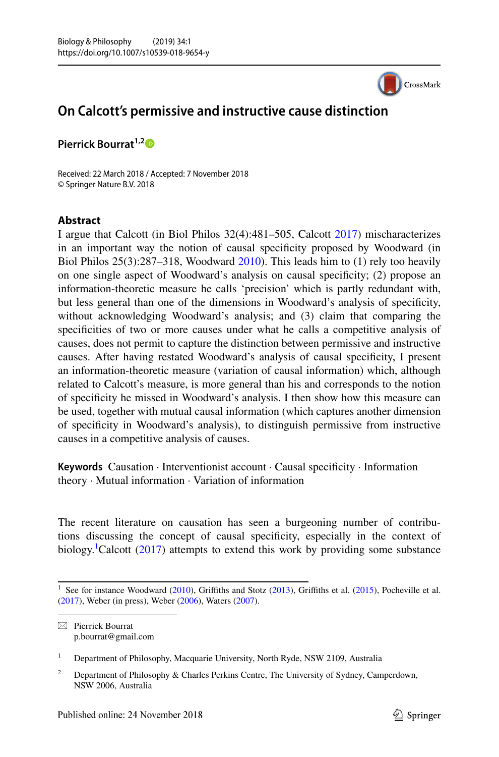CrossMark

## **On Calcott's permissive and instructive cause distinction**

**Pierrick Bourrat**<sup>1,[2](http://orcid.org/0000-0002-4465-6015)</sup><sup>**D**</sup>

Received: 22 March 2018 / Accepted: 7 November 2018 © Springer Nature B.V. 2018

## **Abstract**

I argue that Calcott (in Biol Philos 32(4):481–505, Calcott [2017](#page-11-0)) mischaracterizes in an important way the notion of causal specifcity proposed by Woodward (in Biol Philos 25(3):287–318, Woodward [2010\)](#page-11-1). This leads him to (1) rely too heavily on one single aspect of Woodward's analysis on causal specifcity; (2) propose an information-theoretic measure he calls 'precision' which is partly redundant with, but less general than one of the dimensions in Woodward's analysis of specifcity, without acknowledging Woodward's analysis; and (3) claim that comparing the specifcities of two or more causes under what he calls a competitive analysis of causes, does not permit to capture the distinction between permissive and instructive causes. After having restated Woodward's analysis of causal specifcity, I present an information-theoretic measure (variation of causal information) which, although related to Calcott's measure, is more general than his and corresponds to the notion of specifcity he missed in Woodward's analysis. I then show how this measure can be used, together with mutual causal information (which captures another dimension of specifcity in Woodward's analysis), to distinguish permissive from instructive causes in a competitive analysis of causes.

**Keywords** Causation · Interventionist account · Causal specifcity · Information theory · Mutual information · Variation of information

The recent literature on causation has seen a burgeoning number of contributions discussing the concept of causal specifcity, especially in the context of biology.<sup>[1](#page-0-0)</sup>Calcott [\(2017](#page-11-0)) attempts to extend this work by providing some substance

<sup>1</sup> Department of Philosophy, Macquarie University, North Ryde, NSW 2109, Australia

<span id="page-0-0"></span>See for instance Woodward ([2010\)](#page-11-1), Griffiths and Stotz ([2013\)](#page-11-2), Griffiths et al. [\(2015](#page-11-3)), Pocheville et al. ([2017\)](#page-11-4), Weber (in press), Weber ([2006\)](#page-11-5), Waters [\(2007](#page-11-6)).

 $\boxtimes$  Pierrick Bourrat p.bourrat@gmail.com

<sup>&</sup>lt;sup>2</sup> Department of Philosophy & Charles Perkins Centre, The University of Sydney, Camperdown, NSW 2006, Australia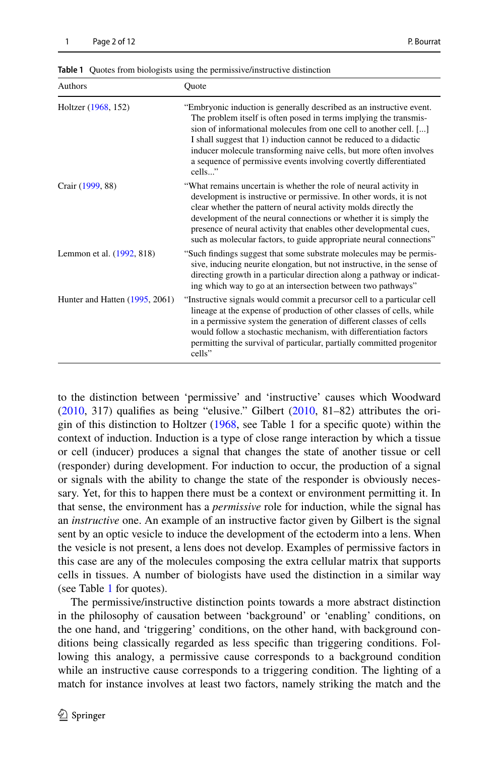| Authors                          | Ouote                                                                                                                                                                                                                                                                                                                                                                                                                                    |
|----------------------------------|------------------------------------------------------------------------------------------------------------------------------------------------------------------------------------------------------------------------------------------------------------------------------------------------------------------------------------------------------------------------------------------------------------------------------------------|
| Holtzer (1968, 152)              | "Embryonic induction is generally described as an instructive event.<br>The problem itself is often posed in terms implying the transmis-<br>sion of informational molecules from one cell to another cell. []<br>I shall suggest that 1) induction cannot be reduced to a didactic<br>inducer molecule transforming naive cells, but more often involves<br>a sequence of permissive events involving covertly differentiated<br>cells" |
| Crair (1999, 88)                 | "What remains uncertain is whether the role of neural activity in<br>development is instructive or permissive. In other words, it is not<br>clear whether the pattern of neural activity molds directly the<br>development of the neural connections or whether it is simply the<br>presence of neural activity that enables other developmental cues,<br>such as molecular factors, to guide appropriate neural connections"            |
| Lemmon et al. (1992, 818)        | "Such findings suggest that some substrate molecules may be permis-<br>sive, inducing neurite elongation, but not instructive, in the sense of<br>directing growth in a particular direction along a pathway or indicat-<br>ing which way to go at an intersection between two pathways"                                                                                                                                                 |
| Hunter and Hatten $(1995, 2061)$ | "Instructive signals would commit a precursor cell to a particular cell"<br>lineage at the expense of production of other classes of cells, while<br>in a permissive system the generation of different classes of cells<br>would follow a stochastic mechanism, with differentiation factors<br>permitting the survival of particular, partially committed progenitor<br>cells"                                                         |

<span id="page-1-0"></span>**Table 1** Quotes from biologists using the permissive/instructive distinction

to the distinction between 'permissive' and 'instructive' causes which Woodward [\(2010](#page-11-1), 317) qualifes as being "elusive." Gilbert ([2010,](#page-11-7) 81–82) attributes the origin of this distinction to Holtzer [\(1968](#page-11-8), see Table 1 for a specifc quote) within the context of induction. Induction is a type of close range interaction by which a tissue or cell (inducer) produces a signal that changes the state of another tissue or cell (responder) during development. For induction to occur, the production of a signal or signals with the ability to change the state of the responder is obviously necessary. Yet, for this to happen there must be a context or environment permitting it. In that sense, the environment has a *permissive* role for induction, while the signal has an *instructive* one. An example of an instructive factor given by Gilbert is the signal sent by an optic vesicle to induce the development of the ectoderm into a lens. When the vesicle is not present, a lens does not develop. Examples of permissive factors in this case are any of the molecules composing the extra cellular matrix that supports cells in tissues. A number of biologists have used the distinction in a similar way (see Table [1](#page-1-0) for quotes).

The permissive/instructive distinction points towards a more abstract distinction in the philosophy of causation between 'background' or 'enabling' conditions, on the one hand, and 'triggering' conditions, on the other hand, with background conditions being classically regarded as less specifc than triggering conditions. Following this analogy, a permissive cause corresponds to a background condition while an instructive cause corresponds to a triggering condition. The lighting of a match for instance involves at least two factors, namely striking the match and the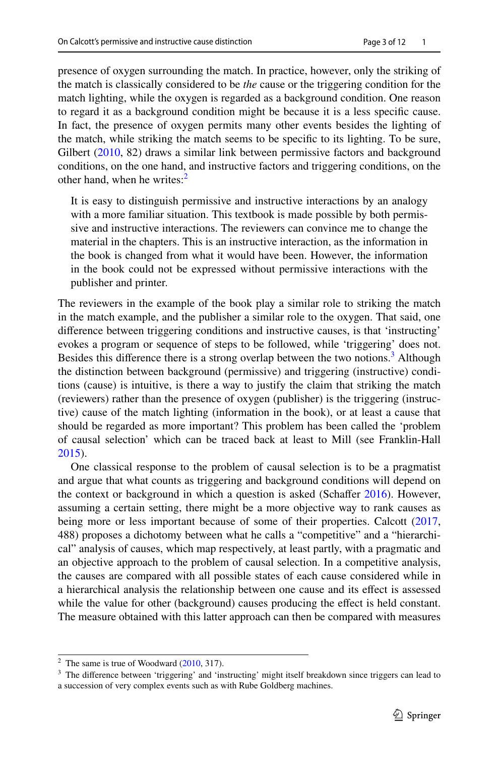presence of oxygen surrounding the match. In practice, however, only the striking of the match is classically considered to be *the* cause or the triggering condition for the match lighting, while the oxygen is regarded as a background condition. One reason to regard it as a background condition might be because it is a less specifc cause. In fact, the presence of oxygen permits many other events besides the lighting of the match, while striking the match seems to be specifc to its lighting. To be sure, Gilbert ([2010,](#page-11-7) 82) draws a similar link between permissive factors and background conditions, on the one hand, and instructive factors and triggering conditions, on the other hand, when he writes: $<sup>2</sup>$ </sup>

It is easy to distinguish permissive and instructive interactions by an analogy with a more familiar situation. This textbook is made possible by both permissive and instructive interactions. The reviewers can convince me to change the material in the chapters. This is an instructive interaction, as the information in the book is changed from what it would have been. However, the information in the book could not be expressed without permissive interactions with the publisher and printer.

The reviewers in the example of the book play a similar role to striking the match in the match example, and the publisher a similar role to the oxygen. That said, one diference between triggering conditions and instructive causes, is that 'instructing' evokes a program or sequence of steps to be followed, while 'triggering' does not. Besides this difference there is a strong overlap between the two notions.<sup>3</sup> Although the distinction between background (permissive) and triggering (instructive) conditions (cause) is intuitive, is there a way to justify the claim that striking the match (reviewers) rather than the presence of oxygen (publisher) is the triggering (instructive) cause of the match lighting (information in the book), or at least a cause that should be regarded as more important? This problem has been called the 'problem of causal selection' which can be traced back at least to Mill (see Franklin-Hall [2015](#page-11-12)).

One classical response to the problem of causal selection is to be a pragmatist and argue that what counts as triggering and background conditions will depend on the context or background in which a question is asked (Schaffer [2016](#page-11-13)). However, assuming a certain setting, there might be a more objective way to rank causes as being more or less important because of some of their properties. Calcott ([2017,](#page-11-0) 488) proposes a dichotomy between what he calls a "competitive" and a "hierarchical" analysis of causes, which map respectively, at least partly, with a pragmatic and an objective approach to the problem of causal selection. In a competitive analysis, the causes are compared with all possible states of each cause considered while in a hierarchical analysis the relationship between one cause and its efect is assessed while the value for other (background) causes producing the efect is held constant. The measure obtained with this latter approach can then be compared with measures

<span id="page-2-0"></span> $2$  The same is true of Woodward ([2010,](#page-11-1) 317).

<span id="page-2-1"></span><sup>&</sup>lt;sup>3</sup> The difference between 'triggering' and 'instructing' might itself breakdown since triggers can lead to a succession of very complex events such as with Rube Goldberg machines.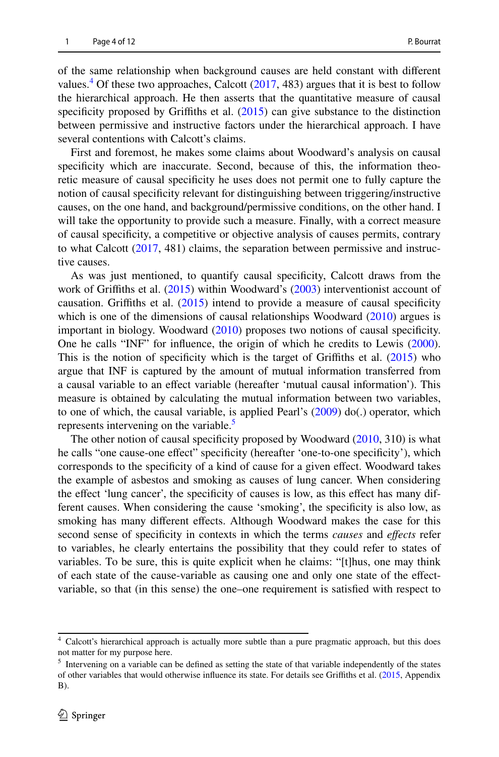of the same relationship when background causes are held constant with diferent values.<sup>[4](#page-3-0)</sup> Of these two approaches, Calcott  $(2017, 483)$  $(2017, 483)$  $(2017, 483)$  argues that it is best to follow the hierarchical approach. He then asserts that the quantitative measure of causal specificity proposed by Griffiths et al. ([2015\)](#page-11-3) can give substance to the distinction between permissive and instructive factors under the hierarchical approach. I have several contentions with Calcott's claims.

First and foremost, he makes some claims about Woodward's analysis on causal specificity which are inaccurate. Second, because of this, the information theoretic measure of causal specifcity he uses does not permit one to fully capture the notion of causal specifcity relevant for distinguishing between triggering/instructive causes, on the one hand, and background/permissive conditions, on the other hand. I will take the opportunity to provide such a measure. Finally, with a correct measure of causal specifcity, a competitive or objective analysis of causes permits, contrary to what Calcott ([2017,](#page-11-0) 481) claims, the separation between permissive and instructive causes.

As was just mentioned, to quantify causal specifcity, Calcott draws from the work of Grifths et al. ([2015\)](#page-11-3) within Woodward's [\(2003](#page-11-14)) interventionist account of causation. Grifths et al. ([2015\)](#page-11-3) intend to provide a measure of causal specifcity which is one of the dimensions of causal relationships Woodward  $(2010)$  $(2010)$  argues is important in biology. Woodward ([2010\)](#page-11-1) proposes two notions of causal specifcity. One he calls "INF" for infuence, the origin of which he credits to Lewis ([2000\)](#page-11-15). This is the notion of specificity which is the target of Griffiths et al. [\(2015](#page-11-3)) who argue that INF is captured by the amount of mutual information transferred from a causal variable to an efect variable (hereafter 'mutual causal information'). This measure is obtained by calculating the mutual information between two variables, to one of which, the causal variable, is applied Pearl's ([2009\)](#page-11-16) do(.) operator, which represents intervening on the variable.<sup>5</sup>

The other notion of causal specifcity proposed by Woodward ([2010,](#page-11-1) 310) is what he calls "one cause-one efect" specifcity (hereafter 'one-to-one specifcity'), which corresponds to the specifcity of a kind of cause for a given efect. Woodward takes the example of asbestos and smoking as causes of lung cancer. When considering the efect 'lung cancer', the specifcity of causes is low, as this efect has many different causes. When considering the cause 'smoking', the specifcity is also low, as smoking has many diferent efects. Although Woodward makes the case for this second sense of specifcity in contexts in which the terms *causes* and *efects* refer to variables, he clearly entertains the possibility that they could refer to states of variables. To be sure, this is quite explicit when he claims: "[t]hus, one may think of each state of the cause-variable as causing one and only one state of the efectvariable, so that (in this sense) the one–one requirement is satisfed with respect to

<span id="page-3-0"></span><sup>4</sup> Calcott's hierarchical approach is actually more subtle than a pure pragmatic approach, but this does not matter for my purpose here.

<span id="page-3-1"></span><sup>&</sup>lt;sup>5</sup> Intervening on a variable can be defined as setting the state of that variable independently of the states of other variables that would otherwise infuence its state. For details see Grifths et al. ([2015,](#page-11-3) Appendix B).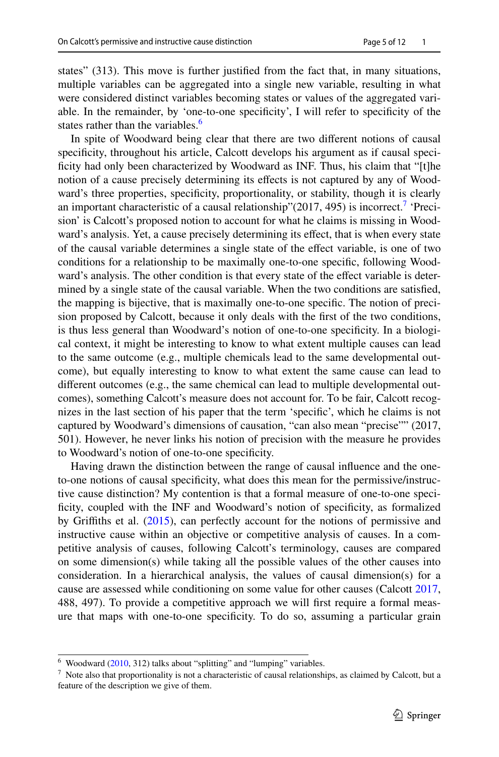states" (313). This move is further justifed from the fact that, in many situations, multiple variables can be aggregated into a single new variable, resulting in what were considered distinct variables becoming states or values of the aggregated variable. In the remainder, by 'one-to-one specifcity', I will refer to specifcity of the states rather than the variables.<sup>[6](#page-4-0)</sup>

In spite of Woodward being clear that there are two diferent notions of causal specifcity, throughout his article, Calcott develops his argument as if causal specificity had only been characterized by Woodward as INF. Thus, his claim that "[t]he notion of a cause precisely determining its efects is not captured by any of Woodward's three properties, specificity, proportionality, or stability, though it is clearly an important characteristic of a causal relationship" $(2017, 495)$  $(2017, 495)$  $(2017, 495)$  is incorrect.<sup>7</sup> 'Precision' is Calcott's proposed notion to account for what he claims is missing in Woodward's analysis. Yet, a cause precisely determining its efect, that is when every state of the causal variable determines a single state of the efect variable, is one of two conditions for a relationship to be maximally one-to-one specifc, following Woodward's analysis. The other condition is that every state of the efect variable is determined by a single state of the causal variable. When the two conditions are satisfed, the mapping is bijective, that is maximally one-to-one specifc. The notion of precision proposed by Calcott, because it only deals with the frst of the two conditions, is thus less general than Woodward's notion of one-to-one specifcity. In a biological context, it might be interesting to know to what extent multiple causes can lead to the same outcome (e.g., multiple chemicals lead to the same developmental outcome), but equally interesting to know to what extent the same cause can lead to diferent outcomes (e.g., the same chemical can lead to multiple developmental outcomes), something Calcott's measure does not account for. To be fair, Calcott recognizes in the last section of his paper that the term 'specifc', which he claims is not captured by Woodward's dimensions of causation, "can also mean "precise"" (2017, 501). However, he never links his notion of precision with the measure he provides to Woodward's notion of one-to-one specifcity.

Having drawn the distinction between the range of causal infuence and the oneto-one notions of causal specifcity, what does this mean for the permissive/instructive cause distinction? My contention is that a formal measure of one-to-one specificity, coupled with the INF and Woodward's notion of specificity, as formalized by Grifths et al. ([2015\)](#page-11-3), can perfectly account for the notions of permissive and instructive cause within an objective or competitive analysis of causes. In a competitive analysis of causes, following Calcott's terminology, causes are compared on some dimension(s) while taking all the possible values of the other causes into consideration. In a hierarchical analysis, the values of causal dimension(s) for a cause are assessed while conditioning on some value for other causes (Calcott [2017,](#page-11-0) 488, 497). To provide a competitive approach we will frst require a formal measure that maps with one-to-one specifcity. To do so, assuming a particular grain

<span id="page-4-0"></span> $6$  Woodward [\(2010](#page-11-1), 312) talks about "splitting" and "lumping" variables.

<span id="page-4-1"></span> $<sup>7</sup>$  Note also that proportionality is not a characteristic of causal relationships, as claimed by Calcott, but a</sup> feature of the description we give of them.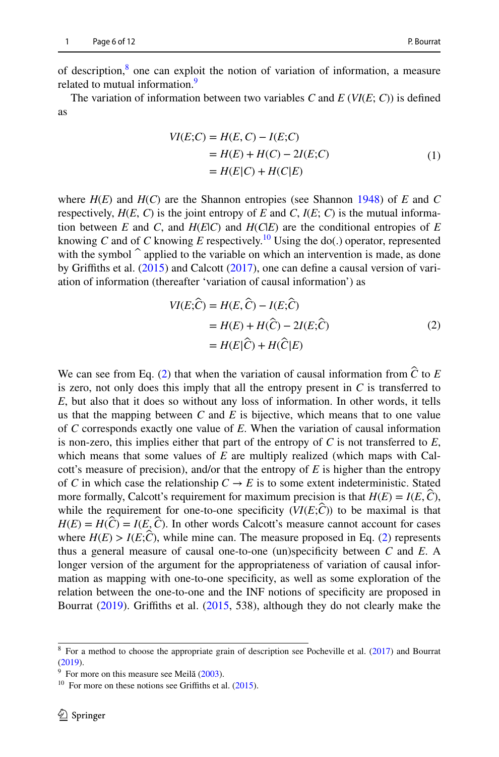of description,<sup>[8](#page-5-0)</sup> one can exploit the notion of variation of information, a measure related to mutual information.<sup>[9](#page-5-1)</sup>

The variation of information between two variables *C* and  $E$  ( $VI(E; C)$ ) is defined as

$$
VI(E;C) = H(E,C) - I(E;C)
$$
  
= H(E) + H(C) - 2I(E;C)  
= H(E|C) + H(C|E) (1)

where  $H(E)$  and  $H(C)$  are the Shannon entropies (see Shannon [1948\)](#page-11-17) of *E* and *C* respectively,  $H(E, C)$  is the joint entropy of *E* and *C*,  $I(E, C)$  is the mutual information between  $E$  and  $C$ , and  $H(E|C)$  and  $H(C|E)$  are the conditional entropies of  $E$ knowing *C* and of *C* knowing *E* respectively.<sup>10</sup> Using the do(.) operator, represented with the symbol  $\hat{\ }$  applied to the variable on which an intervention is made, as done by Grifths et al. [\(2015](#page-11-3)) and Calcott ([2017\)](#page-11-0), one can defne a causal version of variation of information (thereafter 'variation of causal information') as

<span id="page-5-3"></span>
$$
VI(E; \hat{C}) = H(E, \hat{C}) - I(E; \hat{C})
$$
  
= 
$$
H(E) + H(\hat{C}) - 2I(E; \hat{C})
$$
  
= 
$$
H(E|\hat{C}) + H(\hat{C}|E)
$$
 (2)

We can see from Eq. [\(2](#page-5-3)) that when the variation of causal information from *Ĉ* to *<sup>E</sup>* is zero, not only does this imply that all the entropy present in  $C$  is transferred to *E*, but also that it does so without any loss of information. In other words, it tells us that the mapping between *C* and *E* is bijective, which means that to one value of *C* corresponds exactly one value of *E*. When the variation of causal information is non-zero, this implies either that part of the entropy of *C* is not transferred to *E*, which means that some values of *E* are multiply realized (which maps with Calcott's measure of precision), and/or that the entropy of *E* is higher than the entropy of *C* in which case the relationship  $C \rightarrow E$  is to some extent indeterministic. Stated more formally, Calcott's requirement for maximum precision is that  $H(E) = I(E, \hat{C})$ , while the requirement for one-to-one specificity  $(VI(E; \mathcal{C}))$  to be maximal is that  $H(E) = H(\hat{C}) = I(E, \hat{C})$ . In other words Calcott's measure cannot account for cases where  $H(E) > I(E; \hat{C})$ , while mine can. The measure proposed in Eq. [\(2\)](#page-5-3) represents thus a general measure of causal one-to-one (un)specifcity between *C* and *E*. A longer version of the argument for the appropriateness of variation of causal information as mapping with one-to-one specifcity, as well as some exploration of the relation between the one-to-one and the INF notions of specifcity are proposed in Bourrat ([2019\)](#page-11-18). Griffiths et al. ([2015,](#page-11-3) 538), although they do not clearly make the

<span id="page-5-0"></span><sup>8</sup> For a method to choose the appropriate grain of description see Pocheville et al. [\(2017](#page-11-4)) and Bourrat ([2019\)](#page-11-18).

<span id="page-5-1"></span> $9\text{ }$  For more on this measure see Meilă [\(2003](#page-11-19)).

<span id="page-5-2"></span> $10$  For more on these notions see Griffiths et al. [\(2015](#page-11-3)).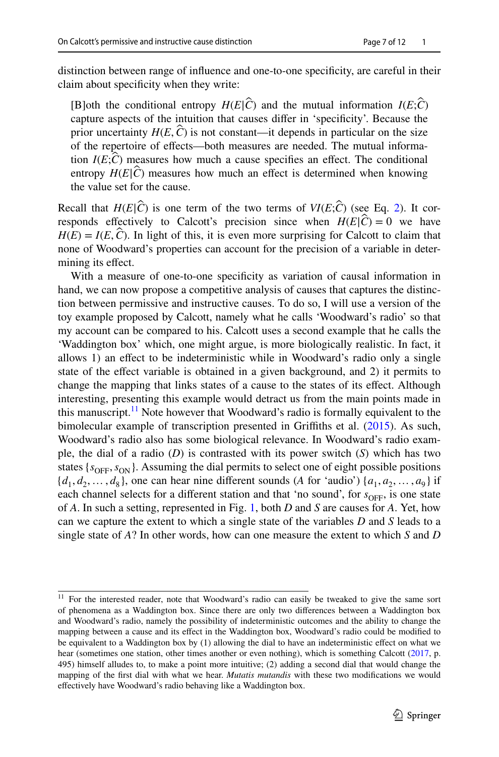distinction between range of infuence and one-to-one specifcity, are careful in their claim about specifcity when they write:

**[B]oth the conditional entropy**  $H(E|\hat{C})$  **and the mutual information**  $I(E;\hat{C})$ capture aspects of the intuition that causes difer in 'specifcity'. Because the prior uncertainty  $H(E, \hat{C})$  is not constant—it depends in particular on the size of the repertoire of effects—both measures are needed. The mutual information  $I(E; \hat{C})$  measures how much a cause specifies an effect. The conditional entropy  $H(E|\hat{C})$  measures how much an effect is determined when knowing the value set for the cause.

Recall that  $H(E|\hat{C})$  is one term of the two terms of  $VI(E;\hat{C})$  (see Eq. [2](#page-5-3)). It corresponds effectively to Calcott's precision since when  $H(E|\hat{C}) = 0$  we have  $H(E) = I(E, \hat{C})$ . In light of this, it is even more surprising for Calcott to claim that none of Woodward's properties can account for the precision of a variable in determining its efect.

With a measure of one-to-one specifcity as variation of causal information in hand, we can now propose a competitive analysis of causes that captures the distinction between permissive and instructive causes. To do so, I will use a version of the toy example proposed by Calcott, namely what he calls 'Woodward's radio' so that my account can be compared to his. Calcott uses a second example that he calls the 'Waddington box' which, one might argue, is more biologically realistic. In fact, it allows 1) an efect to be indeterministic while in Woodward's radio only a single state of the efect variable is obtained in a given background, and 2) it permits to change the mapping that links states of a cause to the states of its effect. Although interesting, presenting this example would detract us from the main points made in this manuscript.<sup>11</sup> Note however that Woodward's radio is formally equivalent to the bimolecular example of transcription presented in Griffiths et al. ([2015\)](#page-11-3). As such, Woodward's radio also has some biological relevance. In Woodward's radio example, the dial of a radio (*D*) is contrasted with its power switch (*S*) which has two states  $\{s_{\text{OFF}}, s_{\text{ON}}\}$ . Assuming the dial permits to select one of eight possible positions  $\{d_1, d_2, \ldots, d_8\}$ , one can hear nine different sounds (*A* for 'audio')  $\{a_1, a_2, \ldots, a_9\}$  if each channel selects for a different station and that 'no sound', for  $s_{\text{OFF}}$ , is one state of *A*. In such a setting, represented in Fig. [1](#page-7-0), both *D* and *S* are causes for *A*. Yet, how can we capture the extent to which a single state of the variables *D* and *S* leads to a single state of *A*? In other words, how can one measure the extent to which *S* and *D*

<span id="page-6-0"></span><sup>&</sup>lt;sup>11</sup> For the interested reader, note that Woodward's radio can easily be tweaked to give the same sort of phenomena as a Waddington box. Since there are only two diferences between a Waddington box and Woodward's radio, namely the possibility of indeterministic outcomes and the ability to change the mapping between a cause and its efect in the Waddington box, Woodward's radio could be modifed to be equivalent to a Waddington box by (1) allowing the dial to have an indeterministic efect on what we hear (sometimes one station, other times another or even nothing), which is something Calcott ([2017,](#page-11-0) p. 495) himself alludes to, to make a point more intuitive; (2) adding a second dial that would change the mapping of the frst dial with what we hear. *Mutatis mutandis* with these two modifcations we would efectively have Woodward's radio behaving like a Waddington box.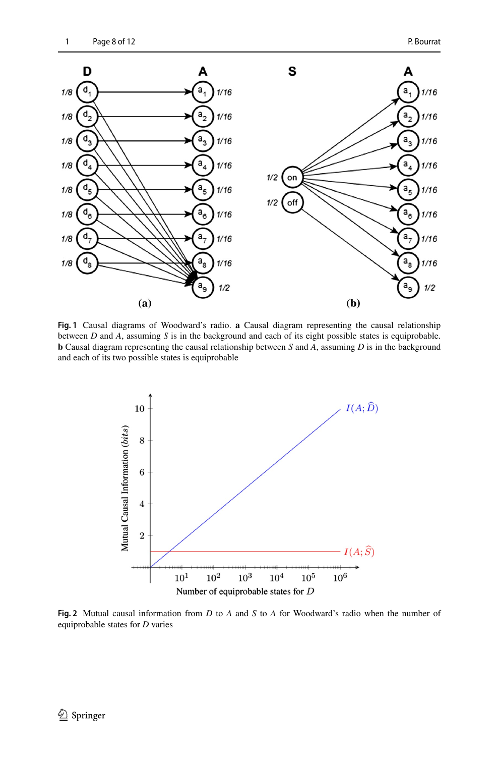

<span id="page-7-0"></span>**Fig. 1** Causal diagrams of Woodward's radio. **a** Causal diagram representing the causal relationship between *D* and *A*, assuming *S* is in the background and each of its eight possible states is equiprobable. **b** Causal diagram representing the causal relationship between *S* and *A*, assuming *D* is in the background and each of its two possible states is equiprobable



<span id="page-7-1"></span>**Fig. 2** Mutual causal information from *D* to *A* and *S* to *A* for Woodward's radio when the number of equiprobable states for *D* varies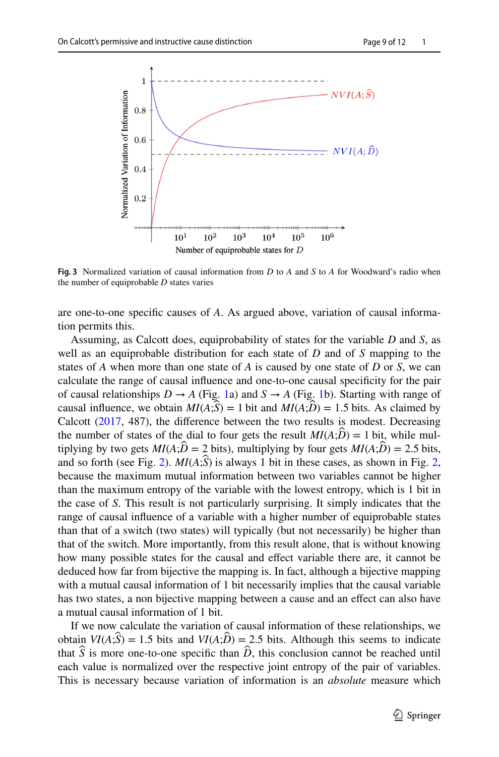

<span id="page-8-0"></span>**Fig. 3** Normalized variation of causal information from *D* to *A* and *S* to *A* for Woodward's radio when the number of equiprobable *D* states varies

are one-to-one specifc causes of *A*. As argued above, variation of causal information permits this.

Assuming, as Calcott does, equiprobability of states for the variable *D* and *S*, as well as an equiprobable distribution for each state of *D* and of *S* mapping to the states of *A* when more than one state of *A* is caused by one state of *D* or *S*, we can calculate the range of causal infuence and one-to-one causal specifcity for the pair of causal relationships  $D \to A$  (Fig. [1](#page-7-0)a) and  $S \to A$  (Fig. [1b](#page-7-0)). Starting with range of causal influence, we obtain  $MI(A;\hat{S}) = 1$  bit and  $MI(A;\hat{D}) = 1.5$  bits. As claimed by Calcott  $(2017, 487)$  $(2017, 487)$  $(2017, 487)$ , the difference between the two results is modest. Decreasing the number of states of the dial to four gets the result  $MI(A;\hat{D}) = 1$  bit, while multiplying by two gets  $MI(A; \hat{D} = 2$  bits), multiplying by four gets  $MI(A; \hat{D}) = 2.5$  bits, and so forth (see Fig. [2](#page-7-1)).  $MI(A;\hat{S})$  is always 1 bit in these cases, as shown in Fig. [2,](#page-7-1) because the maximum mutual information between two variables cannot be higher than the maximum entropy of the variable with the lowest entropy, which is 1 bit in the case of *S*. This result is not particularly surprising. It simply indicates that the range of causal infuence of a variable with a higher number of equiprobable states than that of a switch (two states) will typically (but not necessarily) be higher than that of the switch. More importantly, from this result alone, that is without knowing how many possible states for the causal and efect variable there are, it cannot be deduced how far from bijective the mapping is. In fact, although a bijective mapping with a mutual causal information of 1 bit necessarily implies that the causal variable has two states, a non bijective mapping between a cause and an efect can also have a mutual causal information of 1 bit.

If we now calculate the variation of causal information of these relationships, we obtain  $VI(A;S) = 1.5$  bits and  $VI(A;D) = 2.5$  bits. Although this seems to indicate that  $\hat{S}$  is more one-to-one specific than  $\hat{D}$ , this conclusion cannot be reached until each value is normalized over the respective joint entropy of the pair of variables. This is necessary because variation of information is an *absolute* measure which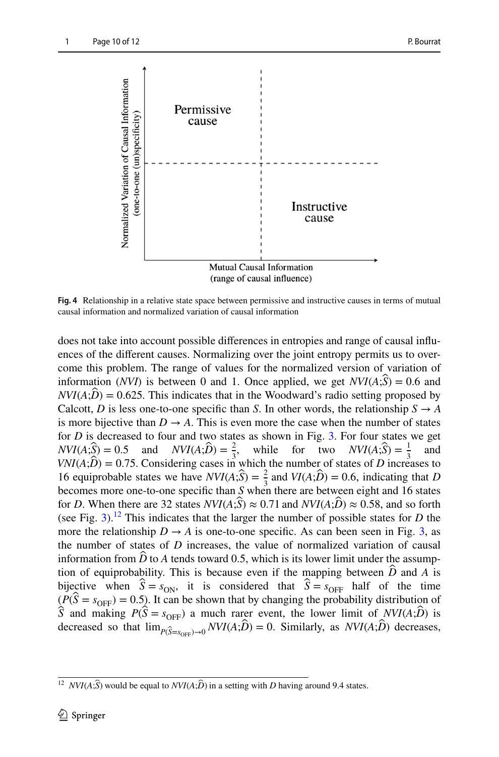

<span id="page-9-1"></span>**Fig. 4** Relationship in a relative state space between permissive and instructive causes in terms of mutual causal information and normalized variation of causal information

does not take into account possible diferences in entropies and range of causal infuences of the diferent causes. Normalizing over the joint entropy permits us to overcome this problem. The range of values for the normalized version of variation of information (*NVI*) is between 0 and 1. Once applied, we get  $NVI(A;S) = 0.6$  and  $NVI(A;\hat{D}) = 0.625$ . This indicates that in the Woodward's radio setting proposed by Calcott, *D* is less one-to-one specific than *S*. In other words, the relationship  $S \rightarrow A$ is more bijective than  $D \to A$ . This is even more the case when the number of states for *D* is decreased to four and two states as shown in Fig. [3](#page-8-0). For four states we get  $NVI(A; \hat{S}) = 0.5$  and  $NVI(A; \hat{D}) = \frac{2}{3}$ , while for two  $NVI(A; \hat{S}) = \frac{1}{3}$  and  $VNI(A; \hat{D}) = 0.75$ . Considering cases in which the number of states of *D* increases to 16 equiprobable states we have  $NVI(A; \hat{S}) = \frac{2}{3}$  and  $VI(A; \hat{D}) = 0.6$ , indicating that *D* becomes more one-to-one specifc than *S* when there are between eight and 16 states for *D*. When there are 32 states  $NVI(A;\hat{S}) \approx 0.71$  and  $NVI(A;\hat{D}) \approx 0.58$ , and so forth (see Fig. [3](#page-8-0)).<sup>12</sup> This indicates that the larger the number of possible states for *D* the more the relationship  $D \rightarrow A$  is one-to-one specific. As can been seen in Fig. [3](#page-8-0), as the number of states of *D* increases, the value of normalized variation of causal information from  $\ddot{D}$  to A tends toward 0.5, which is its lower limit under the assumption of equiprobability. This is because even if the mapping between  $\hat{D}$  and A is bijective when  $\hat{S} = s_{ON}$ , it is considered that  $\hat{S} = s_{OFF}$  half of the time  $(P(\hat{S} = s_{\text{OFF}}) = 0.5)$ . It can be shown that by changing the probability distribution of  $\hat{S}$  and making  $P(\hat{S} = s_{\text{OFF}})$  a much rarer event, the lower limit of  $NVI(A;\hat{D})$  is decreased so that  $\lim_{P(\hat{S}=S_{\text{over}})\to 0} NVI(A;\hat{D}) = 0$ . Similarly, as  $NVI(A;\hat{D})$  decreases,

<span id="page-9-0"></span><sup>&</sup>lt;sup>12</sup> *NVI*( $A$ ; $\hat{S}$ ) would be equal to *NVI*( $A$ ; $\hat{D}$ ) in a setting with *D* having around 9.4 states.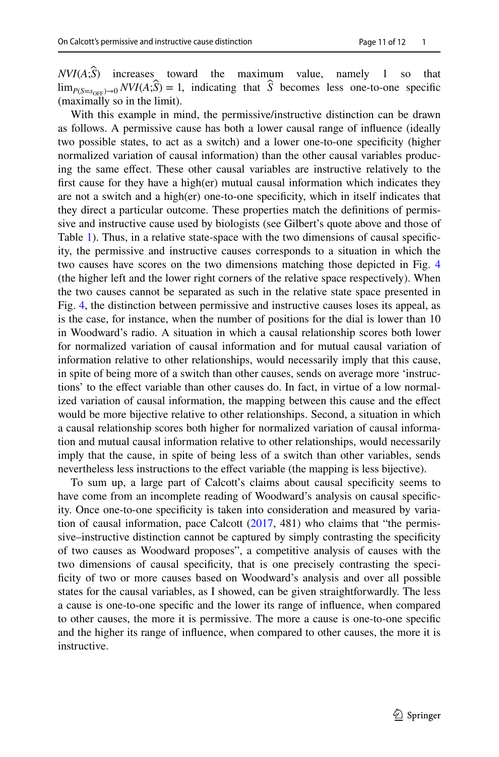$NVI(A;\hat{S})$  increases toward the maximum value, namely 1 so that  $\lim_{P(S=s_{\text{over}}) \to 0} NVI(A; \hat{S}) = 1$ , indicating that  $\hat{S}$  becomes less one-to-one specific (maximally so in the limit).

With this example in mind, the permissive/instructive distinction can be drawn as follows. A permissive cause has both a lower causal range of infuence (ideally two possible states, to act as a switch) and a lower one-to-one specifcity (higher normalized variation of causal information) than the other causal variables producing the same efect. These other causal variables are instructive relatively to the first cause for they have a high(er) mutual causal information which indicates they are not a switch and a high(er) one-to-one specifcity, which in itself indicates that they direct a particular outcome. These properties match the defnitions of permissive and instructive cause used by biologists (see Gilbert's quote above and those of Table [1](#page-1-0)). Thus, in a relative state-space with the two dimensions of causal specifcity, the permissive and instructive causes corresponds to a situation in which the two causes have scores on the two dimensions matching those depicted in Fig. [4](#page-9-1) (the higher left and the lower right corners of the relative space respectively). When the two causes cannot be separated as such in the relative state space presented in Fig. [4,](#page-9-1) the distinction between permissive and instructive causes loses its appeal, as is the case, for instance, when the number of positions for the dial is lower than 10 in Woodward's radio. A situation in which a causal relationship scores both lower for normalized variation of causal information and for mutual causal variation of information relative to other relationships, would necessarily imply that this cause, in spite of being more of a switch than other causes, sends on average more 'instructions' to the efect variable than other causes do. In fact, in virtue of a low normalized variation of causal information, the mapping between this cause and the efect would be more bijective relative to other relationships. Second, a situation in which a causal relationship scores both higher for normalized variation of causal information and mutual causal information relative to other relationships, would necessarily imply that the cause, in spite of being less of a switch than other variables, sends nevertheless less instructions to the effect variable (the mapping is less bijective).

To sum up, a large part of Calcott's claims about causal specifcity seems to have come from an incomplete reading of Woodward's analysis on causal specifcity. Once one-to-one specifcity is taken into consideration and measured by variation of causal information, pace Calcott  $(2017, 481)$  $(2017, 481)$  $(2017, 481)$  who claims that "the permissive–instructive distinction cannot be captured by simply contrasting the specifcity of two causes as Woodward proposes", a competitive analysis of causes with the two dimensions of causal specifcity, that is one precisely contrasting the specificity of two or more causes based on Woodward's analysis and over all possible states for the causal variables, as I showed, can be given straightforwardly. The less a cause is one-to-one specifc and the lower its range of infuence, when compared to other causes, the more it is permissive. The more a cause is one-to-one specifc and the higher its range of infuence, when compared to other causes, the more it is instructive.